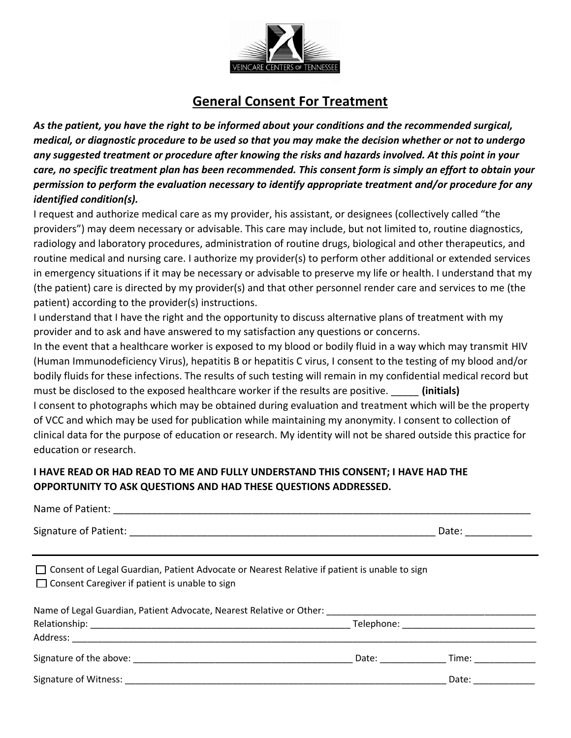

## **General Consent For Treatment**

*As the patient, you have the right to be informed about your conditions and the recommended surgical, medical, or diagnostic procedure to be used so that you may make the decision whether or not to undergo any suggested treatment or procedure after knowing the risks and hazards involved. At this point in your care, no specific treatment plan has been recommended. This consent form is simply an effort to obtain your permission to perform the evaluation necessary to identify appropriate treatment and/or procedure for any identified condition(s).*

I request and authorize medical care as my provider, his assistant, or designees (collectively called "the providers") may deem necessary or advisable. This care may include, but not limited to, routine diagnostics, radiology and laboratory procedures, administration of routine drugs, biological and other therapeutics, and routine medical and nursing care. I authorize my provider(s) to perform other additional or extended services in emergency situations if it may be necessary or advisable to preserve my life or health. I understand that my (the patient) care is directed by my provider(s) and that other personnel render care and services to me (the patient) according to the provider(s) instructions.

I understand that I have the right and the opportunity to discuss alternative plans of treatment with my provider and to ask and have answered to my satisfaction any questions or concerns.

In the event that a healthcare worker is exposed to my blood or bodily fluid in a way which may transmit HIV (Human Immunodeficiency Virus), hepatitis B or hepatitis C virus, I consent to the testing of my blood and/or bodily fluids for these infections. The results of such testing will remain in my confidential medical record but must be disclosed to the exposed healthcare worker if the results are positive. *(initials)* I consent to photographs which may be obtained during evaluation and treatment which will be the property of VCC and which may be used for publication while maintaining my anonymity. I consent to collection of clinical data for the purpose of education or research. My identity will not be shared outside this practice for education or research.

## **I HAVE READ OR HAD READ TO ME AND FULLY UNDERSTAND THIS CONSENT; I HAVE HAD THE OPPORTUNITY TO ASK QUESTIONS AND HAD THESE QUESTIONS ADDRESSED.**

|                                                                                                                                                         |  | Date: _________              |  |  |
|---------------------------------------------------------------------------------------------------------------------------------------------------------|--|------------------------------|--|--|
| □ Consent of Legal Guardian, Patient Advocate or Nearest Relative if patient is unable to sign<br>$\Box$ Consent Caregiver if patient is unable to sign |  |                              |  |  |
|                                                                                                                                                         |  |                              |  |  |
|                                                                                                                                                         |  |                              |  |  |
|                                                                                                                                                         |  |                              |  |  |
|                                                                                                                                                         |  | Date: Time:                  |  |  |
| Signature of Witness: National Communication of the Communication of the Communication of the Communication of                                          |  | Date: $\qquad \qquad \qquad$ |  |  |